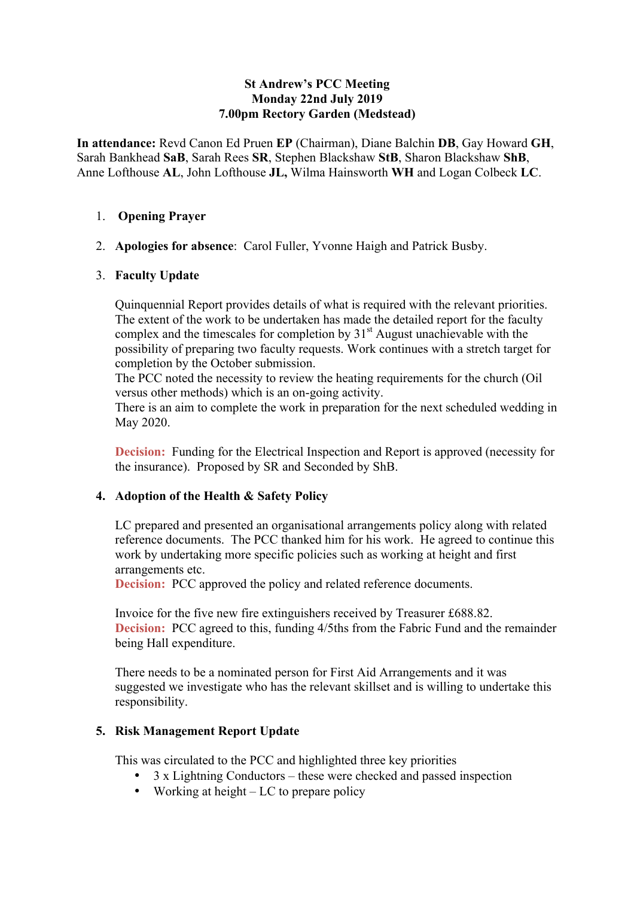#### **St Andrew's PCC Meeting Monday 22nd July 2019 7.00pm Rectory Garden (Medstead)**

**In attendance:** Revd Canon Ed Pruen **EP** (Chairman), Diane Balchin **DB**, Gay Howard **GH**, Sarah Bankhead **SaB**, Sarah Rees **SR**, Stephen Blackshaw **StB**, Sharon Blackshaw **ShB**, Anne Lofthouse **AL**, John Lofthouse **JL,** Wilma Hainsworth **WH** and Logan Colbeck **LC**.

#### 1. **Opening Prayer**

2. **Apologies for absence**: Carol Fuller, Yvonne Haigh and Patrick Busby.

#### 3. **Faculty Update**

Quinquennial Report provides details of what is required with the relevant priorities. The extent of the work to be undertaken has made the detailed report for the faculty complex and the timescales for completion by  $31<sup>st</sup>$  August unachievable with the possibility of preparing two faculty requests. Work continues with a stretch target for completion by the October submission.

The PCC noted the necessity to review the heating requirements for the church (Oil versus other methods) which is an on-going activity.

There is an aim to complete the work in preparation for the next scheduled wedding in May 2020.

**Decision:** Funding for the Electrical Inspection and Report is approved (necessity for the insurance). Proposed by SR and Seconded by ShB.

#### **4. Adoption of the Health & Safety Policy**

LC prepared and presented an organisational arrangements policy along with related reference documents. The PCC thanked him for his work. He agreed to continue this work by undertaking more specific policies such as working at height and first arrangements etc.

**Decision:** PCC approved the policy and related reference documents.

Invoice for the five new fire extinguishers received by Treasurer £688.82. **Decision:** PCC agreed to this, funding  $4/5$ ths from the Fabric Fund and the remainder being Hall expenditure.

There needs to be a nominated person for First Aid Arrangements and it was suggested we investigate who has the relevant skillset and is willing to undertake this responsibility.

## **5. Risk Management Report Update**

This was circulated to the PCC and highlighted three key priorities

- 3 x Lightning Conductors these were checked and passed inspection
- Working at height LC to prepare policy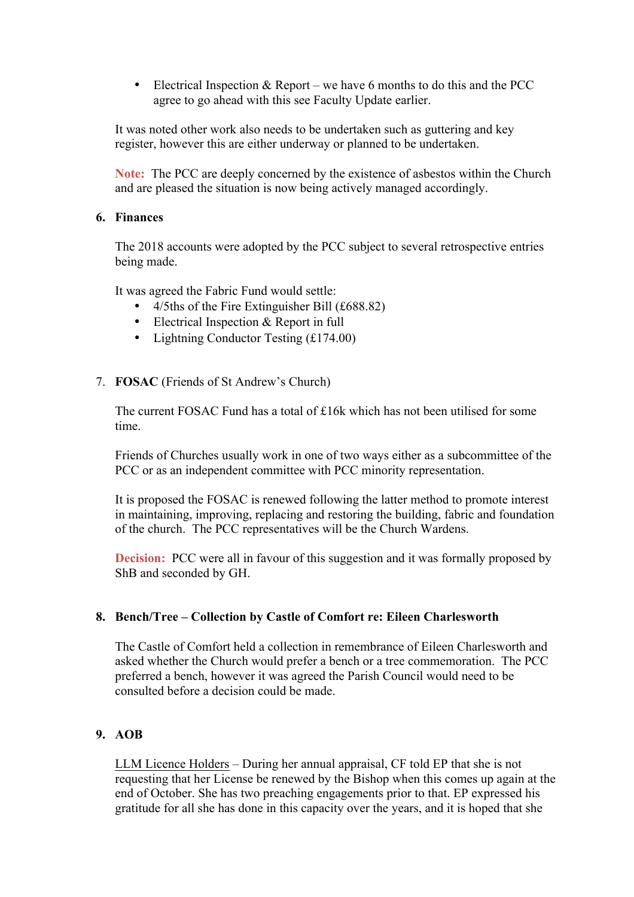• Electrical Inspection  $&$  Report – we have 6 months to do this and the PCC agree to go ahead with this see Faculty Update earlier.

It was noted other work also needs to be undertaken such as guttering and key register, however this are either underway or planned to be undertaken.

**Note:** The PCC are deeply concerned by the existence of asbestos within the Church and are pleased the situation is now being actively managed accordingly.

# **6. Finances**

The 2018 accounts were adopted by the PCC subject to several retrospective entries being made.

It was agreed the Fabric Fund would settle:

- 4/5ths of the Fire Extinguisher Bill (£688.82)
- Electrical Inspection & Report in full
- Lightning Conductor Testing (£174.00)
- 7. **FOSAC** (Friends of St Andrew's Church)

The current FOSAC Fund has a total of £16k which has not been utilised for some time.

Friends of Churches usually work in one of two ways either as a subcommittee of the PCC or as an independent committee with PCC minority representation.

It is proposed the FOSAC is renewed following the latter method to promote interest in maintaining, improving, replacing and restoring the building, fabric and foundation of the church. The PCC representatives will be the Church Wardens.

**Decision:** PCC were all in favour of this suggestion and it was formally proposed by ShB and seconded by GH.

## **8. Bench/Tree – Collection by Castle of Comfort re: Eileen Charlesworth**

The Castle of Comfort held a collection in remembrance of Eileen Charlesworth and asked whether the Church would prefer a bench or a tree commemoration. The PCC preferred a bench, however it was agreed the Parish Council would need to be consulted before a decision could be made.

## **9. AOB**

LLM Licence Holders – During her annual appraisal, CF told EP that she is not requesting that her License be renewed by the Bishop when this comes up again at the end of October. She has two preaching engagements prior to that. EP expressed his gratitude for all she has done in this capacity over the years, and it is hoped that she